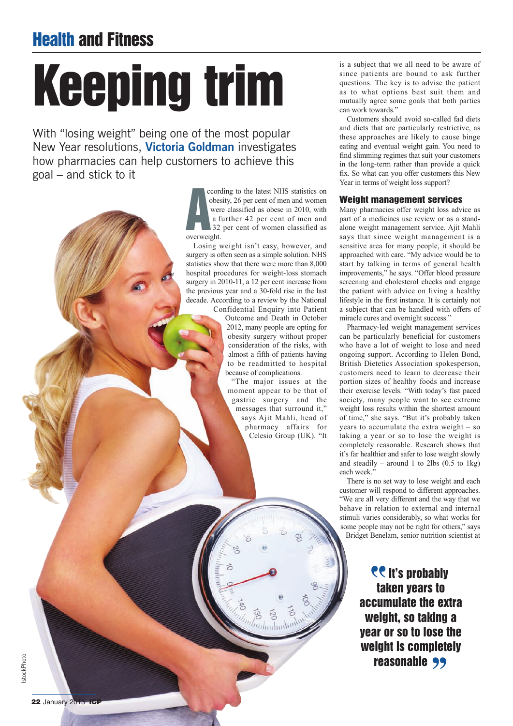# **Health and Fitness**

# **Keeping trim**

With "losing weight" being one of the most popular New Year resolutions, **Victoria Goldman** investigates how pharmacies can help customers to achieve this goal – and stick to it

> **A** ccording to the latest NHS statistics on obesity, 26 per cent of men and women were classified as obese in 2010, with a further 42 per cent of men and 32 per cent of women classified as overweight.

Losing weight isn't easy, however, and surgery is often seen as a simple solution. NHS statistics show that there were more than 8,000 hospital procedures for weight-loss stomach surgery in 2010-11, a 12 per cent increase from the previous year and a 30-fold rise in the last decade. According to a review by the National

Confidential Enquiry into Patient Outcome and Death in October 2012, many people are opting for obesity surgery without proper consideration of the risks, with almost a fifth of patients having to be readmitted to hospital because of complications.

"The major issues at the moment appear to be that of gastric surgery and the messages that surround it," says Ajit Mahli, head of pharmacy affairs for Celesio Group (UK). "It

 $m$ luuluul

is a subject that we all need to be aware of since patients are bound to ask further questions. The key is to advise the patient as to what options best suit them and mutually agree some goals that both parties can work towards."

Customers should avoid so-called fad diets and diets that are particularly restrictive, as these approaches are likely to cause binge eating and eventual weight gain. You need to find slimming regimes that suit your customers in the long-term rather than provide a quick fix. So what can you offer customers this New Year in terms of weight loss support?

#### **Weight management services**

Many pharmacies offer weight loss advice as part of a medicines use review or as a standalone weight management service. Ajit Mahli says that since weight management is a sensitive area for many people, it should be approached with care. "My advice would be to start by talking in terms of general health improvements," he says. "Offer blood pressure screening and cholesterol checks and engage the patient with advice on living a healthy lifestyle in the first instance. It is certainly not a subject that can be handled with offers of miracle cures and overnight success."

Pharmacy-led weight management services can be particularly beneficial for customers who have a lot of weight to lose and need ongoing support. According to Helen Bond, British Dietetics Association spokesperson, customers need to learn to decrease their portion sizes of healthy foods and increase their exercise levels. "With today's fast paced society, many people want to see extreme weight loss results within the shortest amount of time," she says. "But it's probably taken years to accumulate the extra weight – so taking a year or so to lose the weight is completely reasonable. Research shows that it's far healthier and safer to lose weight slowly and steadily – around 1 to 2lbs  $(0.5 \text{ to } 1 \text{ kg})$ each week."

There is no set way to lose weight and each customer will respond to different approaches. "We are all very different and the way that we behave in relation to external and internal stimuli varies considerably, so what works for some people may not be right for others," says Bridget Benelam, senior nutrition scientist at

> **PC It's probably taken years to accumulate the extra weight, so taking a year or so to lose the weight is completely** right is complete<br>**reasonable** 99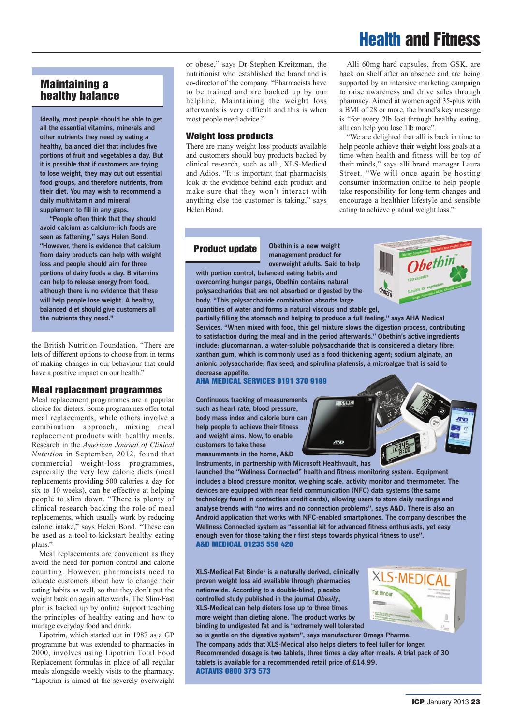## **Health and Fitness**

### **Maintaining a healthy balance**

**Ideally, most people should be able to get all the essential vitamins, minerals and other nutrients they need by eating a healthy, balanced diet that includes five portions of fruit and vegetables a day. But it is possible that if customers are trying to lose weight, they may cut out essential food groups, and therefore nutrients, from their diet. You may wish to recommend a daily multivitamin and mineral supplement to fill in any gaps.**

**"People often think that they should avoid calcium as calcium-rich foods are seen as fattening," says Helen Bond. "However, there is evidence that calcium from dairy products can help with weight loss and people should aim for three portions of dairy foods a day. B vitamins can help to release energy from food, although there is no evidence that these will help people lose weight. A healthy, balanced diet should give customers all the nutrients they need."**

the British Nutrition Foundation. "There are lots of different options to choose from in terms of making changes in our behaviour that could have a positive impact on our health."

#### **Meal replacement programmes**

Meal replacement programmes are a popular choice for dieters. Some programmes offer total meal replacements, while others involve a combination approach, mixing meal replacement products with healthy meals. Research in the *American Journal of Clinical Nutrition* in September, 2012, found that commercial weight-loss programmes, especially the very low calorie diets (meal replacements providing 500 calories a day for six to 10 weeks), can be effective at helping people to slim down. "There is plenty of clinical research backing the role of meal replacements, which usually work by reducing calorie intake," says Helen Bond. "These can be used as a tool to kickstart healthy eating plans."

Meal replacements are convenient as they avoid the need for portion control and calorie counting. However, pharmacists need to educate customers about how to change their eating habits as well, so that they don't put the weight back on again afterwards. The Slim-Fast plan is backed up by online support teaching the principles of healthy eating and how to manage everyday food and drink.

Lipotrim, which started out in 1987 as a GP programme but was extended to pharmacies in 2000, involves using Lipotrim Total Food Replacement formulas in place of all regular meals alongside weekly visits to the pharmacy. "Lipotrim is aimed at the severely overweight

or obese," says Dr Stephen Kreitzman, the nutritionist who established the brand and is co-director of the company. "Pharmacists have to be trained and are backed up by our helpline. Maintaining the weight loss afterwards is very difficult and this is when most people need advice."

#### **Weight loss products**

There are many weight loss products available and customers should buy products backed by clinical research, such as alli, XLS-Medical and Adios. "It is important that pharmacists look at the evidence behind each product and make sure that they won't interact with anything else the customer is taking," says Helen Bond.

Alli 60mg hard capsules, from GSK, are back on shelf after an absence and are being supported by an intensive marketing campaign to raise awareness and drive sales through pharmacy. Aimed at women aged 35-plus with a BMI of 28 or more, the brand's key message is "for every 2lb lost through healthy eating, alli can help you lose 1lb more".

"We are delighted that alli is back in time to help people achieve their weight loss goals at a time when health and fitness will be top of their minds," says alli brand manager Laura Street. "We will once again be hosting consumer information online to help people take responsibility for long-term changes and encourage a healthier lifestyle and sensible eating to achieve gradual weight loss."

#### **Product update**

**Obethin is a new weight management product for overweight adults. Said to help with portion control, balanced eating habits and overcoming hunger pangs, Obethin contains natural**

bethin **quantities of water and forms a natural viscous and stable gel,**

**partially filling the stomach and helping to produce a full feeling," says AHA Medical Services. "When mixed with food, this gel mixture slows the digestion process, contributing to satisfaction during the meal and in the period afterwards." Obethin's active ingredients include: glucomannan, a water-soluble polysaccharide that is considered a dietary fibre; xanthan gum, which is commonly used as a food thickening agent; sodium alginate, an anionic polysaccharide; flax seed; and spirulina platensis, a microalgae that is said to decrease appetite.**

#### **AHA MEDICAL SERVICES 0191 370 9199**

**polysaccharides that are not absorbed or digested by the body. "This polysaccharide combination absorbs large**

**Continuous tracking of measurements such as heart rate, blood pressure, body mass index and calorie burn can help people to achieve their fitness and weight aims. Now, to enable customers to take these measurements in the home, A&D**



**Instruments, in partnership with Microsoft Healthvault, has**

**launched the "Wellness Connected" health and fitness monitoring system. Equipment includes a blood pressure monitor, weighing scale, activity monitor and thermometer. The devices are equipped with near field communication (NFC) data systems (the same technology found in contactless credit cards), allowing users to store daily readings and analyse trends with "no wires and no connection problems", says A&D. There is also an Android application that works with NFC-enabled smartphones. The company describes the Wellness Connected system as "essential kit for advanced fitness enthusiasts, yet easy enough even for those taking their first steps towards physical fitness to use". A&D MEDICAL 01235 550 420**

**XLS-Medical Fat Binder is a naturally derived, clinically proven weight loss aid available through pharmacies nationwide. According to a double-blind, placebo controlled study published in the journal** *Obesity***, XLS-Medical can help dieters lose up to three times more weight than dieting alone. The product works by binding to undigested fat and is "extremely well tolerated**



**so is gentle on the digestive system", says manufacturer Omega Pharma. The company adds that XLS-Medical also helps dieters to feel fuller for longer. Recommended dosage is two tablets, three times a day after meals. A trial pack of 30 tablets is available for a recommended retail price of £14.99. ACTAVIS 0800 373 573**